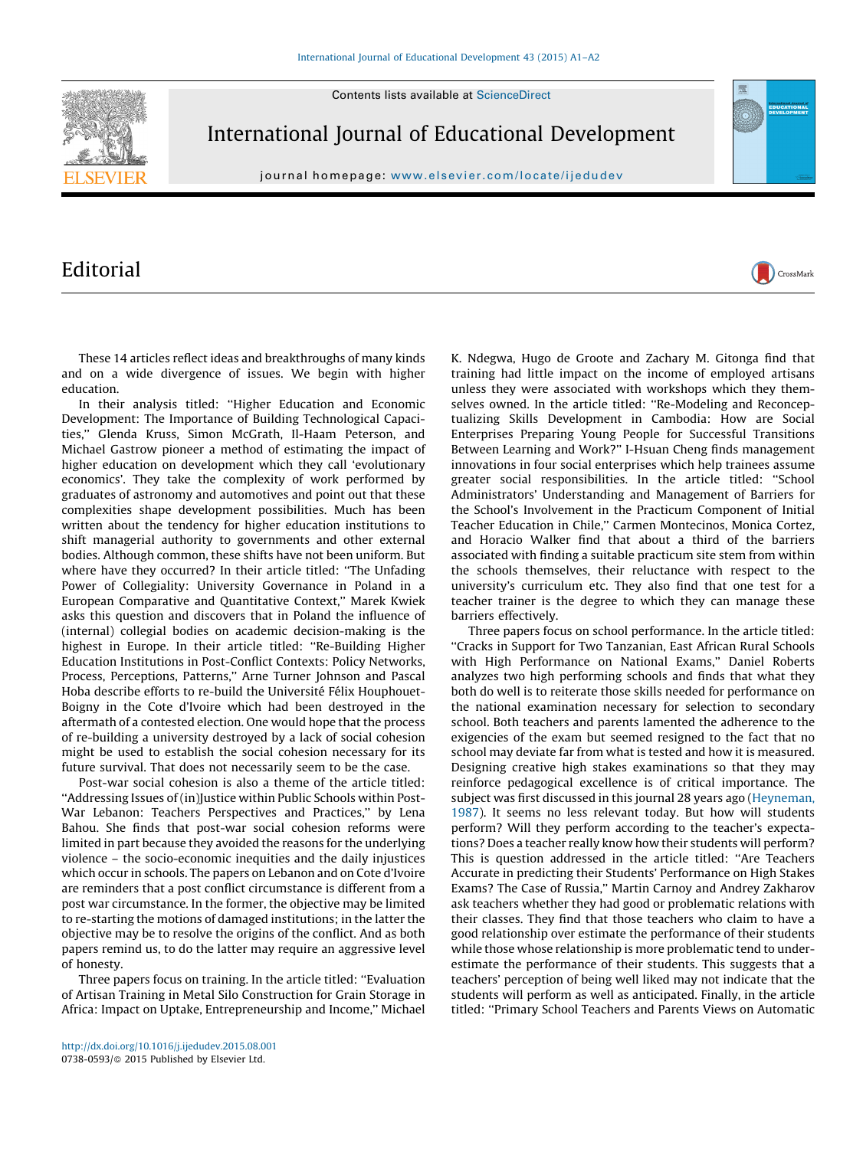Contents lists available at [ScienceDirect](http://www.sciencedirect.com/science/journal/07380593)



International Journal of Educational Development

journal homepage: <www.elsevier.com/locate/ijedudev>

## Editorial



In their analysis titled: ''Higher Education and Economic Development: The Importance of Building Technological Capacities,'' Glenda Kruss, Simon McGrath, Il-Haam Peterson, and Michael Gastrow pioneer a method of estimating the impact of higher education on development which they call 'evolutionary economics'. They take the complexity of work performed by graduates of astronomy and automotives and point out that these complexities shape development possibilities. Much has been written about the tendency for higher education institutions to shift managerial authority to governments and other external bodies. Although common, these shifts have not been uniform. But where have they occurred? In their article titled: ''The Unfading Power of Collegiality: University Governance in Poland in a European Comparative and Quantitative Context,'' Marek Kwiek asks this question and discovers that in Poland the influence of (internal) collegial bodies on academic decision-making is the highest in Europe. In their article titled: ''Re-Building Higher Education Institutions in Post-Conflict Contexts: Policy Networks, Process, Perceptions, Patterns,'' Arne Turner Johnson and Pascal Hoba describe efforts to re-build the Université Félix Houphouet-Boigny in the Cote d'Ivoire which had been destroyed in the aftermath of a contested election. One would hope that the process of re-building a university destroyed by a lack of social cohesion might be used to establish the social cohesion necessary for its future survival. That does not necessarily seem to be the case.

Post-war social cohesion is also a theme of the article titled: ''Addressing Issues of (in)Justice within Public Schools within Post-War Lebanon: Teachers Perspectives and Practices," by Lena Bahou. She finds that post-war social cohesion reforms were limited in part because they avoided the reasons for the underlying violence – the socio-economic inequities and the daily injustices which occur in schools. The papers on Lebanon and on Cote d'Ivoire are reminders that a post conflict circumstance is different from a post war circumstance. In the former, the objective may be limited to re-starting the motions of damaged institutions; in the latter the objective may be to resolve the origins of the conflict. And as both papers remind us, to do the latter may require an aggressive level of honesty.

Three papers focus on training. In the article titled: ''Evaluation of Artisan Training in Metal Silo Construction for Grain Storage in Africa: Impact on Uptake, Entrepreneurship and Income,'' Michael K. Ndegwa, Hugo de Groote and Zachary M. Gitonga find that training had little impact on the income of employed artisans unless they were associated with workshops which they themselves owned. In the article titled: ''Re-Modeling and Reconceptualizing Skills Development in Cambodia: How are Social Enterprises Preparing Young People for Successful Transitions Between Learning and Work?'' I-Hsuan Cheng finds management innovations in four social enterprises which help trainees assume greater social responsibilities. In the article titled: ''School Administrators' Understanding and Management of Barriers for the School's Involvement in the Practicum Component of Initial Teacher Education in Chile,'' Carmen Montecinos, Monica Cortez, and Horacio Walker find that about a third of the barriers associated with finding a suitable practicum site stem from within the schools themselves, their reluctance with respect to the university's curriculum etc. They also find that one test for a teacher trainer is the degree to which they can manage these barriers effectively.

CrossMark

Three papers focus on school performance. In the article titled: ''Cracks in Support for Two Tanzanian, East African Rural Schools with High Performance on National Exams,'' Daniel Roberts analyzes two high performing schools and finds that what they both do well is to reiterate those skills needed for performance on the national examination necessary for selection to secondary school. Both teachers and parents lamented the adherence to the exigencies of the exam but seemed resigned to the fact that no school may deviate far from what is tested and how it is measured. Designing creative high stakes examinations so that they may reinforce pedagogical excellence is of critical importance. The subject was first discussed in this journal 28 years ago [\(Heyneman,](#page-1-0) [1987\)](#page-1-0). It seems no less relevant today. But how will students perform? Will they perform according to the teacher's expectations? Does a teacher really know how their students will perform? This is question addressed in the article titled: ''Are Teachers Accurate in predicting their Students' Performance on High Stakes Exams? The Case of Russia,'' Martin Carnoy and Andrey Zakharov ask teachers whether they had good or problematic relations with their classes. They find that those teachers who claim to have a good relationship over estimate the performance of their students while those whose relationship is more problematic tend to underestimate the performance of their students. This suggests that a teachers' perception of being well liked may not indicate that the students will perform as well as anticipated. Finally, in the article titled: ''Primary School Teachers and Parents Views on Automatic